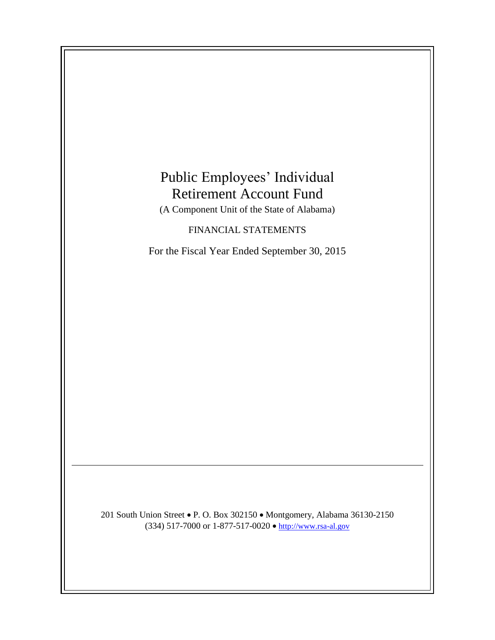# Public Employees' Individual Retirement Account Fund

(A Component Unit of the State of Alabama)

## FINANCIAL STATEMENTS

For the Fiscal Year Ended September 30, 2015

201 South Union Street • P. O. Box 302150 • Montgomery, Alabama 36130-2150 (334) 517-7000 or 1-877-517-0020  $\bullet$  [http://www.rsa-al.gov](http://www.rsa.state.al.us/)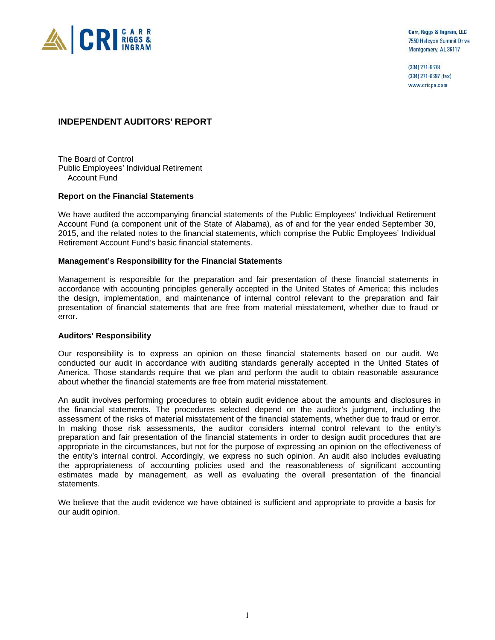

Carr, Riggs & Ingram, LLC 7550 Halcyon Summit Drive Montgomery, AL 36117

 $(334)$  271-6678 (334) 271-6697 (fax) www.cricpa.com

#### **INDEPENDENT AUDITORS' REPORT**

The Board of Control Public Employees' Individual Retirement Account Fund

#### **Report on the Financial Statements**

We have audited the accompanying financial statements of the Public Employees' Individual Retirement Account Fund (a component unit of the State of Alabama), as of and for the year ended September 30, 2015, and the related notes to the financial statements, which comprise the Public Employees' Individual Retirement Account Fund's basic financial statements.

#### **Management's Responsibility for the Financial Statements**

Management is responsible for the preparation and fair presentation of these financial statements in accordance with accounting principles generally accepted in the United States of America; this includes the design, implementation, and maintenance of internal control relevant to the preparation and fair presentation of financial statements that are free from material misstatement, whether due to fraud or error.

#### **Auditors' Responsibility**

Our responsibility is to express an opinion on these financial statements based on our audit. We conducted our audit in accordance with auditing standards generally accepted in the United States of America. Those standards require that we plan and perform the audit to obtain reasonable assurance about whether the financial statements are free from material misstatement.

An audit involves performing procedures to obtain audit evidence about the amounts and disclosures in the financial statements. The procedures selected depend on the auditor's judgment, including the assessment of the risks of material misstatement of the financial statements, whether due to fraud or error. In making those risk assessments, the auditor considers internal control relevant to the entity's preparation and fair presentation of the financial statements in order to design audit procedures that are appropriate in the circumstances, but not for the purpose of expressing an opinion on the effectiveness of the entity's internal control. Accordingly, we express no such opinion. An audit also includes evaluating the appropriateness of accounting policies used and the reasonableness of significant accounting estimates made by management, as well as evaluating the overall presentation of the financial statements.

We believe that the audit evidence we have obtained is sufficient and appropriate to provide a basis for our audit opinion.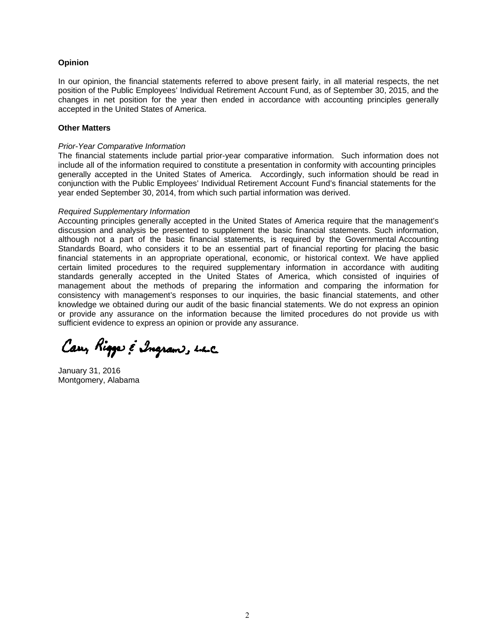#### **Opinion**

In our opinion, the financial statements referred to above present fairly, in all material respects, the net position of the Public Employees' Individual Retirement Account Fund, as of September 30, 2015, and the changes in net position for the year then ended in accordance with accounting principles generally accepted in the United States of America.

#### **Other Matters**

#### *Prior-Year Comparative Information*

The financial statements include partial prior-year comparative information. Such information does not include all of the information required to constitute a presentation in conformity with accounting principles generally accepted in the United States of America. Accordingly, such information should be read in conjunction with the Public Employees' Individual Retirement Account Fund's financial statements for the year ended September 30, 2014, from which such partial information was derived.

#### *Required Supplementary Information*

Accounting principles generally accepted in the United States of America require that the management's discussion and analysis be presented to supplement the basic financial statements. Such information, although not a part of the basic financial statements, is required by the Governmental Accounting Standards Board, who considers it to be an essential part of financial reporting for placing the basic financial statements in an appropriate operational, economic, or historical context. We have applied certain limited procedures to the required supplementary information in accordance with auditing standards generally accepted in the United States of America, which consisted of inquiries of management about the methods of preparing the information and comparing the information for consistency with management's responses to our inquiries, the basic financial statements, and other knowledge we obtained during our audit of the basic financial statements. We do not express an opinion or provide any assurance on the information because the limited procedures do not provide us with sufficient evidence to express an opinion or provide any assurance.

Cary Rigger & Ingram, the

January 31, 2016 Montgomery, Alabama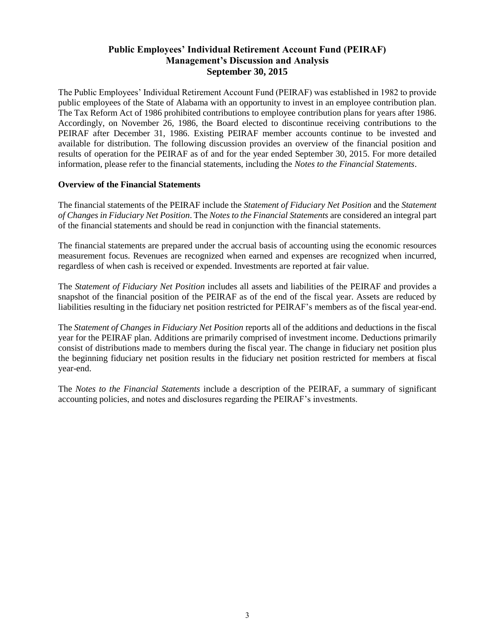## **Public Employees' Individual Retirement Account Fund (PEIRAF) Management's Discussion and Analysis September 30, 2015**

The Public Employees' Individual Retirement Account Fund (PEIRAF) was established in 1982 to provide public employees of the State of Alabama with an opportunity to invest in an employee contribution plan. The Tax Reform Act of 1986 prohibited contributions to employee contribution plans for years after 1986. Accordingly, on November 26, 1986, the Board elected to discontinue receiving contributions to the PEIRAF after December 31, 1986. Existing PEIRAF member accounts continue to be invested and available for distribution. The following discussion provides an overview of the financial position and results of operation for the PEIRAF as of and for the year ended September 30, 2015. For more detailed information, please refer to the financial statements, including the *Notes to the Financial Statements*.

#### **Overview of the Financial Statements**

The financial statements of the PEIRAF include the *Statement of Fiduciary Net Position* and the *Statement of Changes in Fiduciary Net Position*. The *Notes to the Financial Statements* are considered an integral part of the financial statements and should be read in conjunction with the financial statements.

The financial statements are prepared under the accrual basis of accounting using the economic resources measurement focus. Revenues are recognized when earned and expenses are recognized when incurred, regardless of when cash is received or expended. Investments are reported at fair value.

The *Statement of Fiduciary Net Position* includes all assets and liabilities of the PEIRAF and provides a snapshot of the financial position of the PEIRAF as of the end of the fiscal year. Assets are reduced by liabilities resulting in the fiduciary net position restricted for PEIRAF's members as of the fiscal year-end.

The *Statement of Changes in Fiduciary Net Position* reports all of the additions and deductions in the fiscal year for the PEIRAF plan. Additions are primarily comprised of investment income. Deductions primarily consist of distributions made to members during the fiscal year. The change in fiduciary net position plus the beginning fiduciary net position results in the fiduciary net position restricted for members at fiscal year-end.

The *Notes to the Financial Statements* include a description of the PEIRAF, a summary of significant accounting policies, and notes and disclosures regarding the PEIRAF's investments.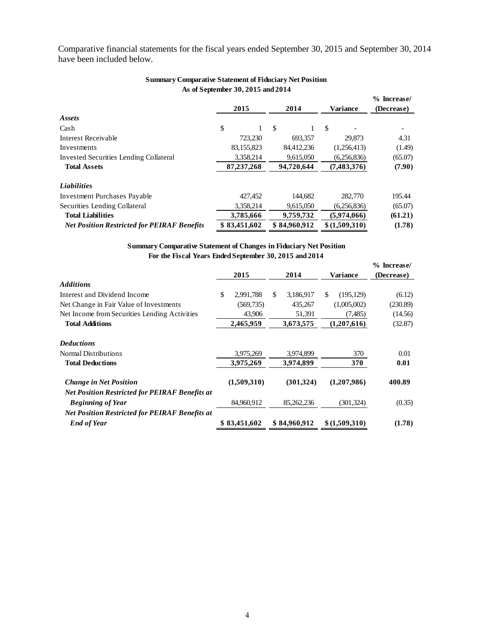Comparative financial statements for the fiscal years ended September 30, 2015 and September 30, 2014 have been included below.

| <b>Summary Comparative Statement of Fiduciary Net Position</b> |                                           |         |               |              |               |                           |
|----------------------------------------------------------------|-------------------------------------------|---------|---------------|--------------|---------------|---------------------------|
|                                                                | As of September 30, 2015 and 2014<br>2015 |         |               | 2014         | Variance      | % Increase/<br>(Decrease) |
| Assets                                                         |                                           |         |               |              |               |                           |
| Cash                                                           | \$                                        | 1       | <sup>\$</sup> |              | \$            |                           |
| Interest Receivable                                            |                                           | 723,230 |               | 693,357      | 29,873        | 4.31                      |
| Investments                                                    | 83,155,823                                |         |               | 84,412,236   | (1,256,413)   | (1.49)                    |
| Invested Securities Lending Collateral                         | 3,358,214                                 |         |               | 9,615,050    | (6,256,836)   | (65.07)                   |
| <b>Total Assets</b>                                            | 87,237,268                                |         |               | 94,720,644   | (7,483,376)   | (7.90)                    |
| <b>Liabilities</b>                                             |                                           |         |               |              |               |                           |
| Investment Purchases Payable                                   |                                           | 427,452 |               | 144,682      | 282,770       | 195.44                    |
| Securities Lending Collateral                                  | 3,358,214                                 |         |               | 9,615,050    | (6,256,836)   | (65.07)                   |
| <b>Total Liabilities</b>                                       | 3,785,666                                 |         |               | 9,759,732    | (5.974, 066)  | (61.21)                   |
| <b>Net Position Restricted for PEIRAF Benefits</b>             | \$83,451,602                              |         |               | \$84,960,912 | \$(1,509,310) | (1.78)                    |

#### **Summary Comparative Statement of Fiduciary Net Position As of September 30, 2015 and 2014**

| <b>Summary Comparative Statement of Changes in Fiduciary Net Position</b> |                 |    |              |                  |               |
|---------------------------------------------------------------------------|-----------------|----|--------------|------------------|---------------|
| For the Fiscal Years Ended September 30, 2015 and 2014                    |                 |    |              |                  |               |
|                                                                           |                 |    |              |                  | $%$ Increase/ |
|                                                                           | 2015            |    | 2014         | <b>Variance</b>  | (Decrease)    |
| <b>Additions</b>                                                          |                 |    |              |                  |               |
| Interest and Dividend Income                                              | \$<br>2,991,788 | S. | 3,186,917    | \$<br>(195, 129) | (6.12)        |
| Net Change in Fair Value of Investments                                   | (569, 735)      |    | 435,267      | (1,005,002)      | (230.89)      |
| Net Income from Securities Lending Activities                             | 43,906          |    | 51,391       | (7,485)          | (14.56)       |
| <b>Total Additions</b>                                                    | 2,465,959       |    | 3,673,575    | (1,207,616)      | (32.87)       |
| <b>Deductions</b>                                                         |                 |    |              |                  |               |
| Normal Distributions                                                      | 3,975,269       |    | 3,974,899    | 370              | 0.01          |
| <b>Total Deductions</b>                                                   | 3,975,269       |    | 3,974,899    | 370              | 0.01          |
| <b>Change in Net Position</b>                                             | (1,509,310)     |    | (301, 324)   | (1,207,986)      | 400.89        |
| <b>Net Position Restricted for PEIRAF Benefits at</b>                     |                 |    |              |                  |               |
| <b>Beginning of Year</b>                                                  | 84,960,912      |    | 85,262,236   | (301, 324)       | (0.35)        |
| <b>Net Position Restricted for PEIRAF Benefits at</b>                     |                 |    |              |                  |               |
| <b>End of Year</b>                                                        | \$83,451,602    |    | \$84,960,912 | \$(1,509,310)    | (1.78)        |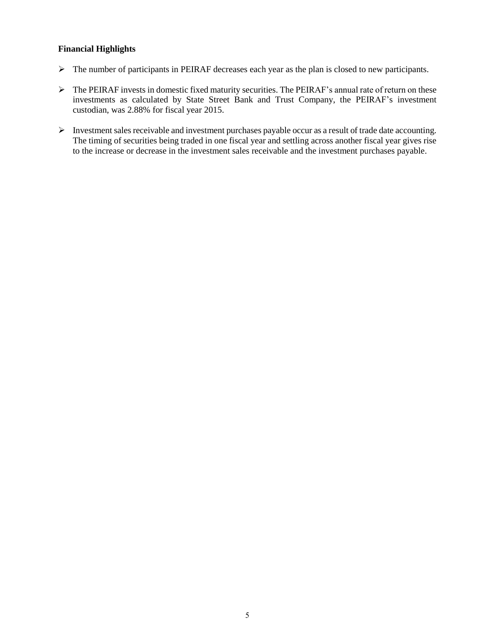#### **Financial Highlights**

- The number of participants in PEIRAF decreases each year as the plan is closed to new participants.
- The PEIRAF invests in domestic fixed maturity securities. The PEIRAF's annual rate of return on these investments as calculated by State Street Bank and Trust Company, the PEIRAF's investment custodian, was 2.88% for fiscal year 2015.
- $\triangleright$  Investment sales receivable and investment purchases payable occur as a result of trade date accounting. The timing of securities being traded in one fiscal year and settling across another fiscal year gives rise to the increase or decrease in the investment sales receivable and the investment purchases payable.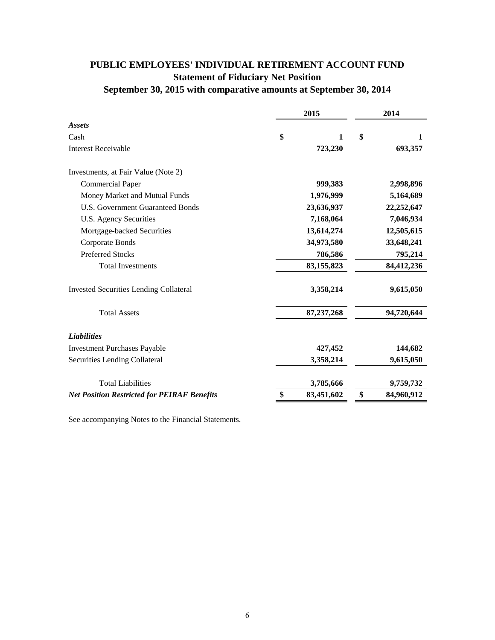## **PUBLIC EMPLOYEES' INDIVIDUAL RETIREMENT ACCOUNT FUND Statement of Fiduciary Net Position**

## **September 30, 2015 with comparative amounts at September 30, 2014**

|                                                    | 2015 |              | 2014 |            |
|----------------------------------------------------|------|--------------|------|------------|
| <b>Assets</b>                                      |      |              |      |            |
| Cash                                               | \$   | $\mathbf{1}$ | \$   | 1          |
| <b>Interest Receivable</b>                         |      | 723,230      |      | 693,357    |
| Investments, at Fair Value (Note 2)                |      |              |      |            |
| <b>Commercial Paper</b>                            |      | 999,383      |      | 2,998,896  |
| Money Market and Mutual Funds                      |      | 1,976,999    |      | 5,164,689  |
| <b>U.S. Government Guaranteed Bonds</b>            |      | 23,636,937   |      | 22,252,647 |
| U.S. Agency Securities                             |      | 7,168,064    |      | 7,046,934  |
| Mortgage-backed Securities                         |      | 13,614,274   |      | 12,505,615 |
| Corporate Bonds                                    |      | 34,973,580   |      | 33,648,241 |
| <b>Preferred Stocks</b>                            |      | 786,586      |      | 795,214    |
| <b>Total Investments</b>                           |      | 83,155,823   |      | 84,412,236 |
| <b>Invested Securities Lending Collateral</b>      |      | 3,358,214    |      | 9,615,050  |
| <b>Total Assets</b>                                |      | 87,237,268   |      | 94,720,644 |
| <b>Liabilities</b>                                 |      |              |      |            |
| <b>Investment Purchases Payable</b>                |      | 427,452      |      | 144,682    |
| Securities Lending Collateral                      |      | 3,358,214    |      | 9,615,050  |
| <b>Total Liabilities</b>                           |      | 3,785,666    |      | 9,759,732  |
| <b>Net Position Restricted for PEIRAF Benefits</b> | \$   | 83,451,602   | \$   | 84,960,912 |

See accompanying Notes to the Financial Statements.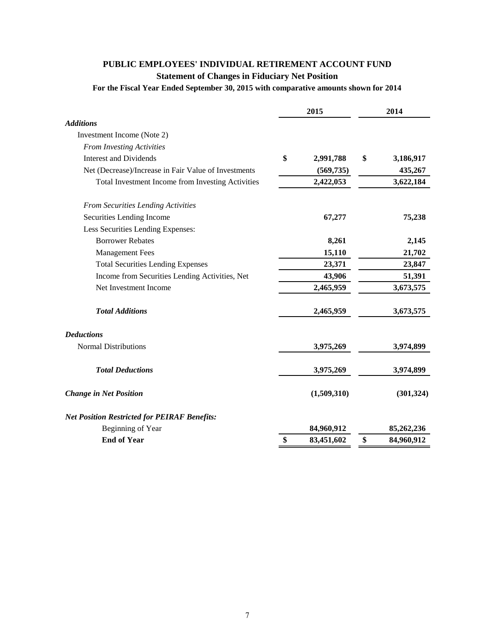## **PUBLIC EMPLOYEES' INDIVIDUAL RETIREMENT ACCOUNT FUND**

**Statement of Changes in Fiduciary Net Position**

**For the Fiscal Year Ended September 30, 2015 with comparative amounts shown for 2014**

|                                                      | 2015 |             | 2014 |            |
|------------------------------------------------------|------|-------------|------|------------|
| <b>Additions</b>                                     |      |             |      |            |
| Investment Income (Note 2)                           |      |             |      |            |
| <b>From Investing Activities</b>                     |      |             |      |            |
| <b>Interest and Dividends</b>                        | \$   | 2,991,788   | \$   | 3,186,917  |
| Net (Decrease)/Increase in Fair Value of Investments |      | (569, 735)  |      | 435,267    |
| Total Investment Income from Investing Activities    |      | 2,422,053   |      | 3,622,184  |
| <b>From Securities Lending Activities</b>            |      |             |      |            |
| Securities Lending Income                            |      | 67,277      |      | 75,238     |
| Less Securities Lending Expenses:                    |      |             |      |            |
| <b>Borrower Rebates</b>                              |      | 8,261       |      | 2,145      |
| <b>Management Fees</b>                               |      | 15,110      |      | 21,702     |
| <b>Total Securities Lending Expenses</b>             |      | 23,371      |      | 23,847     |
| Income from Securities Lending Activities, Net       |      | 43,906      |      | 51,391     |
| Net Investment Income                                |      | 2,465,959   |      | 3,673,575  |
| <b>Total Additions</b>                               |      | 2,465,959   |      | 3,673,575  |
| <b>Deductions</b>                                    |      |             |      |            |
| <b>Normal Distributions</b>                          |      | 3,975,269   |      | 3,974,899  |
| <b>Total Deductions</b>                              |      | 3,975,269   |      | 3,974,899  |
| <b>Change in Net Position</b>                        |      | (1,509,310) |      | (301, 324) |
| <b>Net Position Restricted for PEIRAF Benefits:</b>  |      |             |      |            |
| Beginning of Year                                    |      | 84,960,912  |      | 85,262,236 |
| <b>End of Year</b>                                   | \$   | 83,451,602  | \$   | 84,960,912 |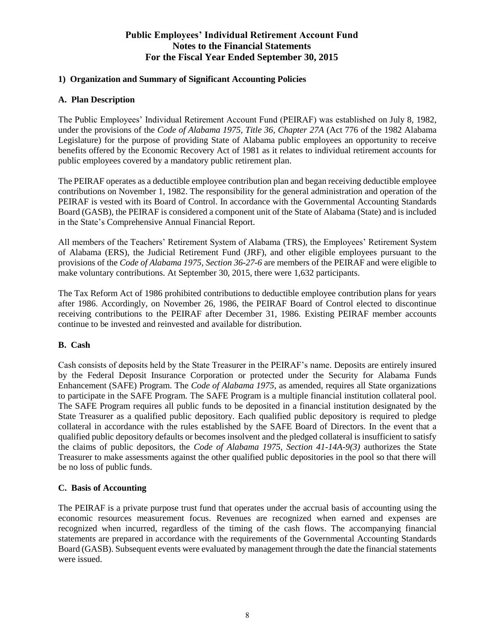### **1) Organization and Summary of Significant Accounting Policies**

#### **A. Plan Description**

The Public Employees' Individual Retirement Account Fund (PEIRAF) was established on July 8, 1982, under the provisions of the *Code of Alabama 1975, Title 36, Chapter 27A* (Act 776 of the 1982 Alabama Legislature) for the purpose of providing State of Alabama public employees an opportunity to receive benefits offered by the Economic Recovery Act of 1981 as it relates to individual retirement accounts for public employees covered by a mandatory public retirement plan.

The PEIRAF operates as a deductible employee contribution plan and began receiving deductible employee contributions on November 1, 1982. The responsibility for the general administration and operation of the PEIRAF is vested with its Board of Control. In accordance with the Governmental Accounting Standards Board (GASB), the PEIRAF is considered a component unit of the State of Alabama (State) and is included in the State's Comprehensive Annual Financial Report.

All members of the Teachers' Retirement System of Alabama (TRS), the Employees' Retirement System of Alabama (ERS), the Judicial Retirement Fund (JRF), and other eligible employees pursuant to the provisions of the *Code of Alabama 1975, Section 36-27-6* are members of the PEIRAF and were eligible to make voluntary contributions. At September 30, 2015, there were 1,632 participants.

The Tax Reform Act of 1986 prohibited contributions to deductible employee contribution plans for years after 1986. Accordingly, on November 26, 1986, the PEIRAF Board of Control elected to discontinue receiving contributions to the PEIRAF after December 31, 1986. Existing PEIRAF member accounts continue to be invested and reinvested and available for distribution.

### **B. Cash**

Cash consists of deposits held by the State Treasurer in the PEIRAF's name. Deposits are entirely insured by the Federal Deposit Insurance Corporation or protected under the Security for Alabama Funds Enhancement (SAFE) Program. The *Code of Alabama 1975*, as amended, requires all State organizations to participate in the SAFE Program. The SAFE Program is a multiple financial institution collateral pool. The SAFE Program requires all public funds to be deposited in a financial institution designated by the State Treasurer as a qualified public depository. Each qualified public depository is required to pledge collateral in accordance with the rules established by the SAFE Board of Directors. In the event that a qualified public depository defaults or becomes insolvent and the pledged collateral is insufficient to satisfy the claims of public depositors, the *Code of Alabama 1975, Section 41-14A-9(3)* authorizes the State Treasurer to make assessments against the other qualified public depositories in the pool so that there will be no loss of public funds.

#### **C. Basis of Accounting**

The PEIRAF is a private purpose trust fund that operates under the accrual basis of accounting using the economic resources measurement focus. Revenues are recognized when earned and expenses are recognized when incurred, regardless of the timing of the cash flows. The accompanying financial statements are prepared in accordance with the requirements of the Governmental Accounting Standards Board (GASB). Subsequent events were evaluated by management through the date the financial statements were issued.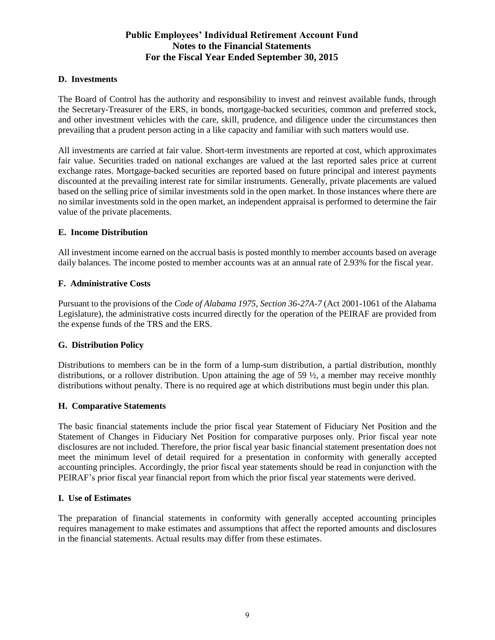#### **D. Investments**

The Board of Control has the authority and responsibility to invest and reinvest available funds, through the Secretary-Treasurer of the ERS, in bonds, mortgage-backed securities, common and preferred stock, and other investment vehicles with the care, skill, prudence, and diligence under the circumstances then prevailing that a prudent person acting in a like capacity and familiar with such matters would use.

All investments are carried at fair value. Short-term investments are reported at cost, which approximates fair value. Securities traded on national exchanges are valued at the last reported sales price at current exchange rates. Mortgage-backed securities are reported based on future principal and interest payments discounted at the prevailing interest rate for similar instruments. Generally, private placements are valued based on the selling price of similar investments sold in the open market. In those instances where there are no similar investments sold in the open market, an independent appraisal is performed to determine the fair value of the private placements.

#### **E. Income Distribution**

All investment income earned on the accrual basis is posted monthly to member accounts based on average daily balances. The income posted to member accounts was at an annual rate of 2.93% for the fiscal year.

#### **F. Administrative Costs**

Pursuant to the provisions of the *Code of Alabama 1975, Section 36-27A-7* (Act 2001-1061 of the Alabama Legislature), the administrative costs incurred directly for the operation of the PEIRAF are provided from the expense funds of the TRS and the ERS.

#### **G. Distribution Policy**

Distributions to members can be in the form of a lump-sum distribution, a partial distribution, monthly distributions, or a rollover distribution. Upon attaining the age of 59  $\frac{1}{2}$ , a member may receive monthly distributions without penalty. There is no required age at which distributions must begin under this plan.

#### **H. Comparative Statements**

The basic financial statements include the prior fiscal year Statement of Fiduciary Net Position and the Statement of Changes in Fiduciary Net Position for comparative purposes only. Prior fiscal year note disclosures are not included. Therefore, the prior fiscal year basic financial statement presentation does not meet the minimum level of detail required for a presentation in conformity with generally accepted accounting principles. Accordingly, the prior fiscal year statements should be read in conjunction with the PEIRAF's prior fiscal year financial report from which the prior fiscal year statements were derived.

#### **I. Use of Estimates**

The preparation of financial statements in conformity with generally accepted accounting principles requires management to make estimates and assumptions that affect the reported amounts and disclosures in the financial statements. Actual results may differ from these estimates.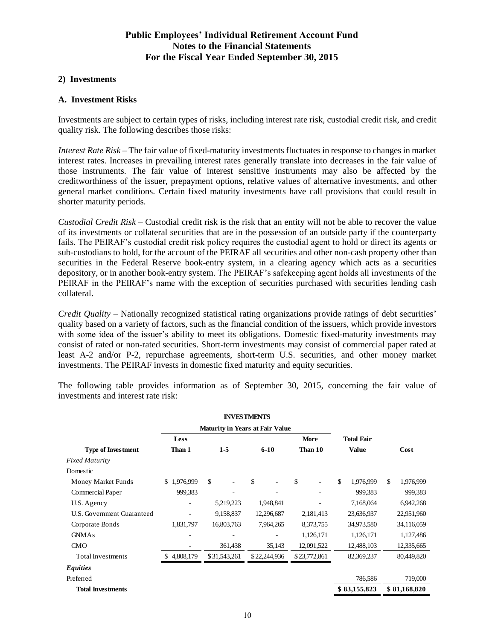#### **2) Investments**

#### **A. Investment Risks**

Investments are subject to certain types of risks, including interest rate risk, custodial credit risk, and credit quality risk. The following describes those risks:

*Interest Rate Risk* – The fair value of fixed-maturity investments fluctuates in response to changes in market interest rates. Increases in prevailing interest rates generally translate into decreases in the fair value of those instruments. The fair value of interest sensitive instruments may also be affected by the creditworthiness of the issuer, prepayment options, relative values of alternative investments, and other general market conditions. Certain fixed maturity investments have call provisions that could result in shorter maturity periods.

*Custodial Credit Risk* – Custodial credit risk is the risk that an entity will not be able to recover the value of its investments or collateral securities that are in the possession of an outside party if the counterparty fails. The PEIRAF's custodial credit risk policy requires the custodial agent to hold or direct its agents or sub-custodians to hold, for the account of the PEIRAF all securities and other non-cash property other than securities in the Federal Reserve book-entry system, in a clearing agency which acts as a securities depository, or in another book-entry system. The PEIRAF's safekeeping agent holds all investments of the PEIRAF in the PEIRAF's name with the exception of securities purchased with securities lending cash collateral.

*Credit Quality* – Nationally recognized statistical rating organizations provide ratings of debt securities' quality based on a variety of factors, such as the financial condition of the issuers, which provide investors with some idea of the issuer's ability to meet its obligations. Domestic fixed-maturity investments may consist of rated or non-rated securities. Short-term investments may consist of commercial paper rated at least A-2 and/or P-2, repurchase agreements, short-term U.S. securities, and other money market investments. The PEIRAF invests in domestic fixed maturity and equity securities.

The following table provides information as of September 30, 2015, concerning the fair value of investments and interest rate risk:

|                            |             |              | <b>INVESTMENTS</b> |              |                   |                 |
|----------------------------|-------------|--------------|--------------------|--------------|-------------------|-----------------|
|                            |             |              |                    |              |                   |                 |
|                            | <b>Less</b> |              |                    | <b>More</b>  | <b>Total Fair</b> |                 |
| <b>Type of Investment</b>  | Than 1      | $1-5$        | $6-10$             | Than 10      | <b>Value</b>      | Cost            |
| <b>Fixed Maturity</b>      |             |              |                    |              |                   |                 |
| Domestic                   |             |              |                    |              |                   |                 |
| Money Market Funds         | \$1,976,999 | \$           | \$                 | \$           | \$<br>1,976,999   | \$<br>1,976,999 |
| Commercial Paper           | 999,383     |              |                    |              | 999,383           | 999,383         |
| U.S. Agency                |             | 5,219,223    | 1,948,841          |              | 7,168,064         | 6,942,268       |
| U.S. Government Guaranteed |             | 9,158,837    | 12,296,687         | 2,181,413    | 23,636,937        | 22,951,960      |
| Corporate Bonds            | 1,831,797   | 16,803,763   | 7,964,265          | 8,373,755    | 34,973,580        | 34,116,059      |
| <b>GNMAs</b>               |             |              |                    | 1,126,171    | 1,126,171         | 1,127,486       |
| <b>CMO</b>                 |             | 361,438      | 35,143             | 12,091,522   | 12,488,103        | 12,335,665      |
| <b>Total Investments</b>   | 4,808,179   | \$31,543,261 | \$22,244,936       | \$23,772,861 | 82,369,237        | 80,449,820      |
| <b>Equities</b>            |             |              |                    |              |                   |                 |
| Preferred                  |             |              |                    |              | 786,586           | 719,000         |
| <b>Total Investments</b>   |             |              |                    |              | \$83,155,823      | \$81,168,820    |
|                            |             |              |                    |              |                   |                 |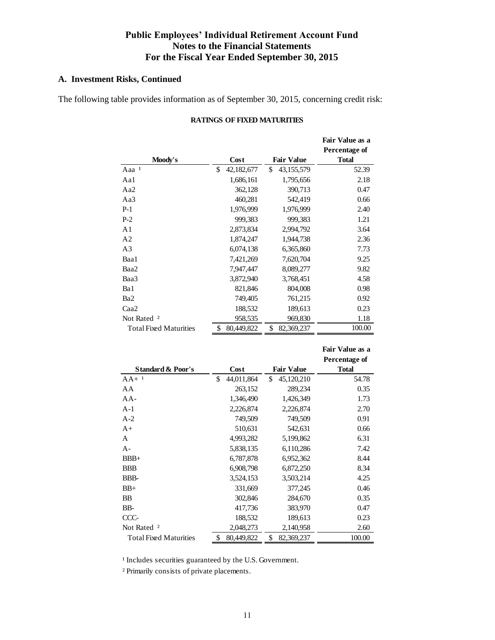## **A. Investment Risks, Continued**

The following table provides information as of September 30, 2015, concerning credit risk:

| Moody's                       | Cost              | <b>Fair Value</b> | Fair Value as a<br>Percentage of<br><b>Total</b> |
|-------------------------------|-------------------|-------------------|--------------------------------------------------|
| Aaa <sup>1</sup>              | \$.<br>42,182,677 | \$<br>43,155,579  | 52.39                                            |
| Aa1                           | 1,686,161         | 1,795,656         | 2.18                                             |
| Aa2                           | 362,128           | 390,713           | 0.47                                             |
| Aa3                           | 460,281           | 542,419           | 0.66                                             |
| $P-1$                         | 1.976.999         | 1,976,999         | 2.40                                             |
| $P-2$                         | 999,383           | 999,383           | 1.21                                             |
| A1                            | 2,873,834         | 2,994,792         | 3.64                                             |
| A <sub>2</sub>                | 1,874,247         | 1,944,738         | 2.36                                             |
| A <sub>3</sub>                | 6,074,138         | 6,365,860         | 7.73                                             |
| Baa1                          | 7,421,269         | 7,620,704         | 9.25                                             |
| Baa2                          | 7,947,447         | 8,089,277         | 9.82                                             |
| Baa3                          | 3,872,940         | 3,768,451         | 4.58                                             |
| Ba1                           | 821,846           | 804,008           | 0.98                                             |
| Ba <sub>2</sub>               | 749,405           | 761,215           | 0.92                                             |
| Caa2                          | 188,532           | 189,613           | 0.23                                             |
| Not Rated <sup>2</sup>        | 958,535           | 969,830           | 1.18                                             |
| <b>Total Fixed Maturities</b> | \$<br>80,449,822  | \$<br>82,369,237  | 100.00                                           |

#### **RATINGS OF FIXED MATURITIES**

|                               |                  |                   | Percentage of |
|-------------------------------|------------------|-------------------|---------------|
| <b>Standard &amp; Poor's</b>  | Cost             | <b>Fair Value</b> | <b>Total</b>  |
| $AA+$ <sup>1</sup>            | \$<br>44,011,864 | \$<br>45,120,210  | 54.78         |
| AA                            | 263,152          | 289,234           | 0.35          |
| AA-                           | 1,346,490        | 1,426,349         | 1.73          |
| $A-1$                         | 2,226,874        | 2,226,874         | 2.70          |
| $A-2$                         | 749,509          | 749,509           | 0.91          |
| $A+$                          | 510,631          | 542,631           | 0.66          |
| A                             | 4,993,282        | 5,199,862         | 6.31          |
| A-                            | 5,838,135        | 6,110,286         | 7.42          |
| $BBB+$                        | 6,787,878        | 6,952,362         | 8.44          |
| <b>BBB</b>                    | 6,908,798        | 6,872,250         | 8.34          |
| BBB-                          | 3,524,153        | 3,503,214         | 4.25          |
| $BB+$                         | 331,669          | 377,245           | 0.46          |
| BB                            | 302,846          | 284,670           | 0.35          |
| BB-                           | 417,736          | 383,970           | 0.47          |
| CCC-                          | 188,532          | 189,613           | 0.23          |
| Not Rated <sup>2</sup>        | 2,048,273        | 2,140,958         | 2.60          |
| <b>Total Fixed Maturities</b> | \$<br>80,449,822 | \$<br>82,369,237  | 100.00        |

 **Fair Value as a** 

<sup>1</sup> Includes securities guaranteed by the U.S. Government.

² Primarily consists of private placements.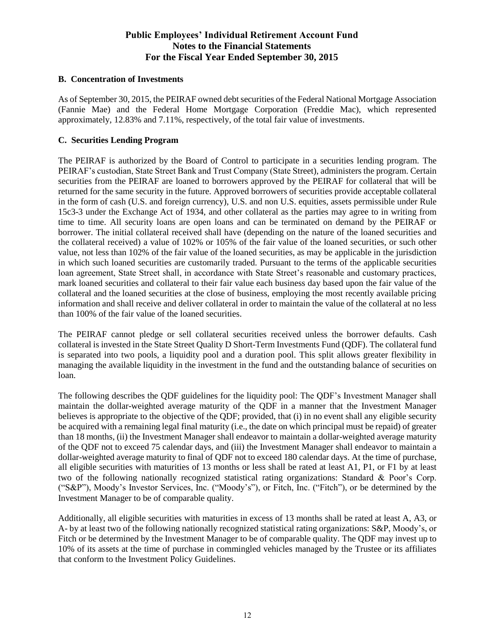#### **B. Concentration of Investments**

As of September 30, 2015, the PEIRAF owned debt securities of the Federal National Mortgage Association (Fannie Mae) and the Federal Home Mortgage Corporation (Freddie Mac), which represented approximately, 12.83% and 7.11%, respectively, of the total fair value of investments.

#### **C. Securities Lending Program**

The PEIRAF is authorized by the Board of Control to participate in a securities lending program. The PEIRAF's custodian, State Street Bank and Trust Company (State Street), administers the program. Certain securities from the PEIRAF are loaned to borrowers approved by the PEIRAF for collateral that will be returned for the same security in the future. Approved borrowers of securities provide acceptable collateral in the form of cash (U.S. and foreign currency), U.S. and non U.S. equities, assets permissible under Rule 15c3-3 under the Exchange Act of 1934, and other collateral as the parties may agree to in writing from time to time. All security loans are open loans and can be terminated on demand by the PEIRAF or borrower. The initial collateral received shall have (depending on the nature of the loaned securities and the collateral received) a value of 102% or 105% of the fair value of the loaned securities, or such other value, not less than 102% of the fair value of the loaned securities, as may be applicable in the jurisdiction in which such loaned securities are customarily traded. Pursuant to the terms of the applicable securities loan agreement, State Street shall, in accordance with State Street's reasonable and customary practices, mark loaned securities and collateral to their fair value each business day based upon the fair value of the collateral and the loaned securities at the close of business, employing the most recently available pricing information and shall receive and deliver collateral in order to maintain the value of the collateral at no less than 100% of the fair value of the loaned securities.

The PEIRAF cannot pledge or sell collateral securities received unless the borrower defaults. Cash collateral is invested in the State Street Quality D Short-Term Investments Fund (QDF). The collateral fund is separated into two pools, a liquidity pool and a duration pool. This split allows greater flexibility in managing the available liquidity in the investment in the fund and the outstanding balance of securities on loan.

The following describes the QDF guidelines for the liquidity pool: The QDF's Investment Manager shall maintain the dollar-weighted average maturity of the QDF in a manner that the Investment Manager believes is appropriate to the objective of the QDF; provided, that (i) in no event shall any eligible security be acquired with a remaining legal final maturity (i.e., the date on which principal must be repaid) of greater than 18 months, (ii) the Investment Manager shall endeavor to maintain a dollar-weighted average maturity of the QDF not to exceed 75 calendar days, and (iii) the Investment Manager shall endeavor to maintain a dollar-weighted average maturity to final of QDF not to exceed 180 calendar days. At the time of purchase, all eligible securities with maturities of 13 months or less shall be rated at least A1, P1, or F1 by at least two of the following nationally recognized statistical rating organizations: Standard & Poor's Corp. ("S&P"), Moody's Investor Services, Inc. ("Moody's"), or Fitch, Inc. ("Fitch"), or be determined by the Investment Manager to be of comparable quality.

Additionally, all eligible securities with maturities in excess of 13 months shall be rated at least A, A3, or A- by at least two of the following nationally recognized statistical rating organizations: S&P, Moody's, or Fitch or be determined by the Investment Manager to be of comparable quality. The QDF may invest up to 10% of its assets at the time of purchase in commingled vehicles managed by the Trustee or its affiliates that conform to the Investment Policy Guidelines.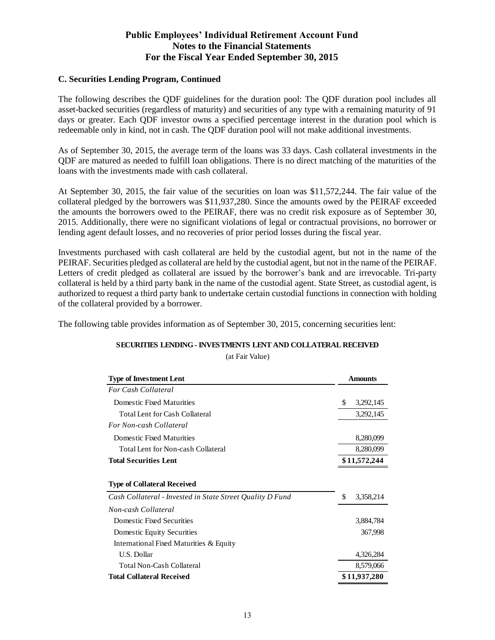#### **C. Securities Lending Program, Continued**

The following describes the QDF guidelines for the duration pool: The QDF duration pool includes all asset-backed securities (regardless of maturity) and securities of any type with a remaining maturity of 91 days or greater. Each QDF investor owns a specified percentage interest in the duration pool which is redeemable only in kind, not in cash. The QDF duration pool will not make additional investments.

As of September 30, 2015, the average term of the loans was 33 days. Cash collateral investments in the QDF are matured as needed to fulfill loan obligations. There is no direct matching of the maturities of the loans with the investments made with cash collateral.

At September 30, 2015, the fair value of the securities on loan was \$11,572,244. The fair value of the collateral pledged by the borrowers was \$11,937,280. Since the amounts owed by the PEIRAF exceeded the amounts the borrowers owed to the PEIRAF, there was no credit risk exposure as of September 30, 2015. Additionally, there were no significant violations of legal or contractual provisions, no borrower or lending agent default losses, and no recoveries of prior period losses during the fiscal year.

Investments purchased with cash collateral are held by the custodial agent, but not in the name of the PEIRAF. Securities pledged as collateral are held by the custodial agent, but not in the name of the PEIRAF. Letters of credit pledged as collateral are issued by the borrower's bank and are irrevocable. Tri-party collateral is held by a third party bank in the name of the custodial agent. State Street, as custodial agent, is authorized to request a third party bank to undertake certain custodial functions in connection with holding of the collateral provided by a borrower.

The following table provides information as of September 30, 2015, concerning securities lent:

| SECURITIES LENDING - INVESTMENTS LENT AND COLLATERAL RECEIVED |
|---------------------------------------------------------------|
| (at Fair Value)                                               |

| <b>Type of Investment Lent</b>                            | <b>Amounts</b>   |
|-----------------------------------------------------------|------------------|
| <b>For Cash Collateral</b>                                |                  |
| Domestic Fixed Maturities                                 | \$.<br>3,292,145 |
| Total Lent for Cash Collateral                            | 3,292,145        |
| For Non-cash Collateral                                   |                  |
| Domestic Fixed Maturities                                 | 8,280,099        |
| Total Lent for Non-cash Collateral                        | 8,280,099        |
| <b>Total Securities Lent</b>                              | \$11,572,244     |
|                                                           |                  |
| <b>Type of Collateral Received</b>                        |                  |
| Cash Collateral - Invested in State Street Quality D Fund | \$<br>3,358,214  |
| Non-cash Collateral                                       |                  |
| Domestic Fixed Securities                                 | 3,884,784        |
| Domestic Equity Securities                                | 367,998          |
| International Fixed Maturities & Equity                   |                  |
| <b>U.S. Dollar</b>                                        | 4,326,284        |
| Total Non-Cash Collateral                                 | 8,579,066        |
| <b>Total Collateral Received</b>                          | \$11,937,280     |